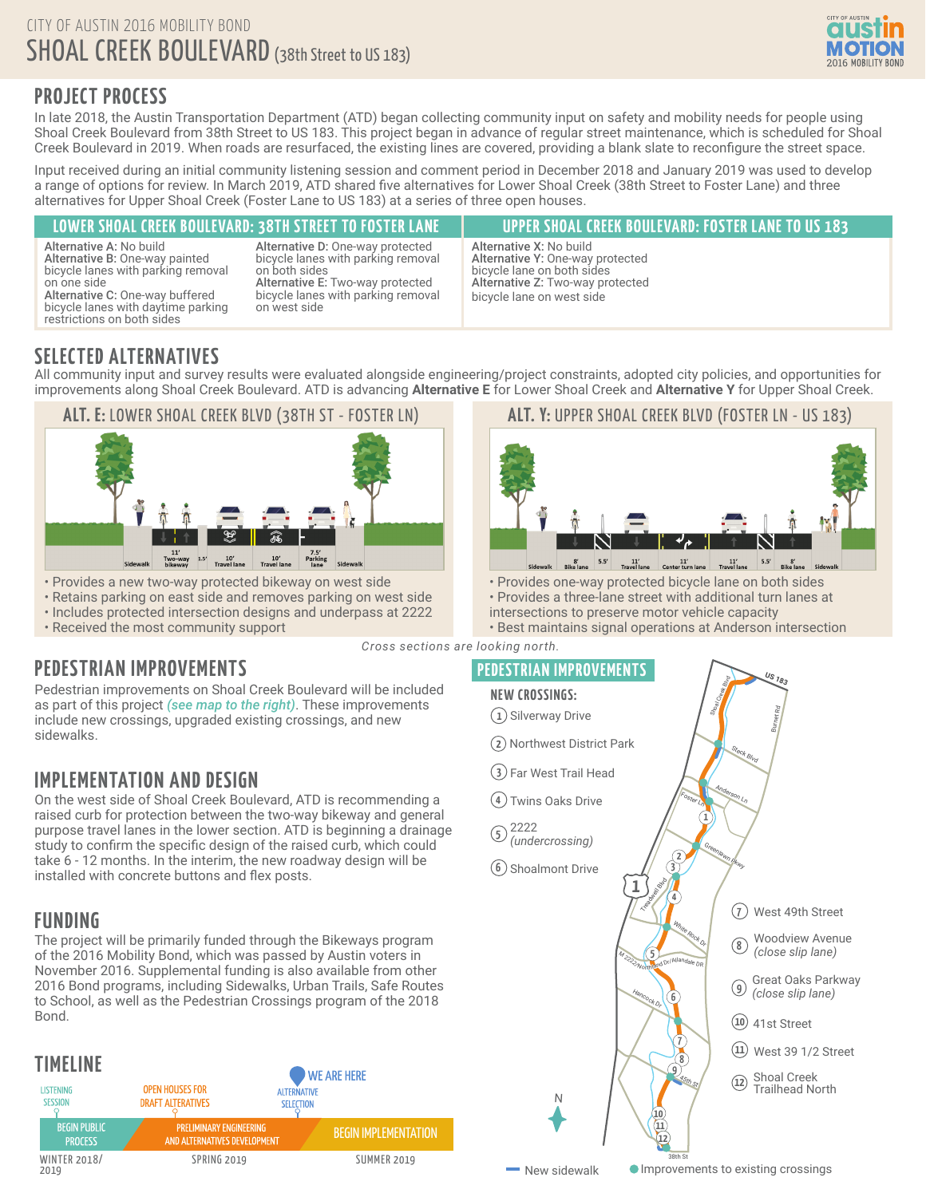

# **PROJECT PROCESS**

In late 2018, the Austin Transportation Department (ATD) began collecting community input on safety and mobility needs for people using Shoal Creek Boulevard from 38th Street to US 183. This project began in advance of regular street maintenance, which is scheduled for Shoal Creek Boulevard in 2019. When roads are resurfaced, the existing lines are covered, providing a blank slate to reconfigure the street space.

Input received during an initial community listening session and comment period in December 2018 and January 2019 was used to develop a range of options for review. In March 2019, ATD shared five alternatives for Lower Shoal Creek (38th Street to Foster Lane) and three alternatives for Upper Shoal Creek (Foster Lane to US 183) at a series of three open houses.

| LOWER SHOAL CREEK BOULEVARD: 38TH STREET TO FOSTER LANE                                                                                                                                                               |                                                                                                                                                                                   | UPPER SHOAL CREEK BOULEVARD: FOSTER LANE TO US 183                                                                                                         |
|-----------------------------------------------------------------------------------------------------------------------------------------------------------------------------------------------------------------------|-----------------------------------------------------------------------------------------------------------------------------------------------------------------------------------|------------------------------------------------------------------------------------------------------------------------------------------------------------|
| Alternative A: No build<br>Alternative B: One-way painted<br>bicycle lanes with parking removal<br>on one side<br>Alternative C: One-way buffered<br>bicycle lanes with daytime parking<br>restrictions on both sides | Alternative D: One-way protected<br>bicycle lanes with parking removal<br>on both sides<br>Alternative E: Two-way protected<br>bicycle lanes with parking removal<br>on west side | Alternative X: No build<br>Alternative Y: One-way protected<br>bicycle lane on both sides<br>Alternative Z: Two-way protected<br>bicycle lane on west side |

#### **SELECTED ALTERNATIVES**

All community input and survey results were evaluated alongside engineering/project constraints, adopted city policies, and opportunities for improvements along Shoal Creek Boulevard. ATD is advancing **Alternative E** for Lower Shoal Creek and **Alternative Y** for Upper Shoal Creek.



- Provides a new two-way protected bikeway on west side
- Retains parking on east side and removes parking on west side
- Includes protected intersection designs and underpass at 2222
- Received the most community support

## **PEDESTRIAN IMPROVEMENTS**

Pedestrian improvements on Shoal Creek Boulevard will be included as part of this project *(see map to the right)*. These improvements include new crossings, upgraded existing crossings, and new sidewalks.

#### **IMPLEMENTATION AND DESIGN**

On the west side of Shoal Creek Boulevard, ATD is recommending a raised curb for protection between the two-way bikeway and general purpose travel lanes in the lower section. ATD is beginning a drainage study to confirm the specific design of the raised curb, which could take 6 - 12 months. In the interim, the new roadway design will be installed with concrete buttons and flex posts.

## **FUNDING**

The project will be primarily funded through the Bikeways program of the 2016 Mobility Bond, which was passed by Austin voters in November 2016. Supplemental funding is also available from other 2016 Bond programs, including Sidewalks, Urban Trails, Safe Routes to School, as well as the Pedestrian Crossings program of the 2018 Bond.





• Provides one-way protected bicycle lane on both sides • Provides a three-lane street with additional turn lanes at intersections to preserve motor vehicle capacity • Best maintains signal operations at Anderson intersection

**U**

**S 183**

#### **PEDESTRIAN IMPROVEMENTS**

#### **NEW CROSSINGS:**

N **1** Steck Blvd Burnet Rd Anderson Ln Foster Ln Greenlawn Pkwy **Treadwell** White Rock Dr Hancock Dr 45th St **1 4 6 7 3** M 2222 Worthland Dr/Allandale DR **2 8 9 10** Shaal Creek Blvd **5 1** Silverway Drive **2** Northwest District Park **4** Twins Oaks Drive **3** Far West Trail Head **6** Shoalmont Drive **<sup>5</sup>** <sup>2222</sup> *(undercrossing)* **7** West 49th Street **<sup>8</sup>** Woodview Avenue *(close slip lane)* **9** Great Oaks Parkway *(close slip lane)* **11** West 39 1/2 Street **12** Shoal Creek Trailhead North **10** 41st Street

38th St

**11**

**12**

*Cross sections are looking north.*